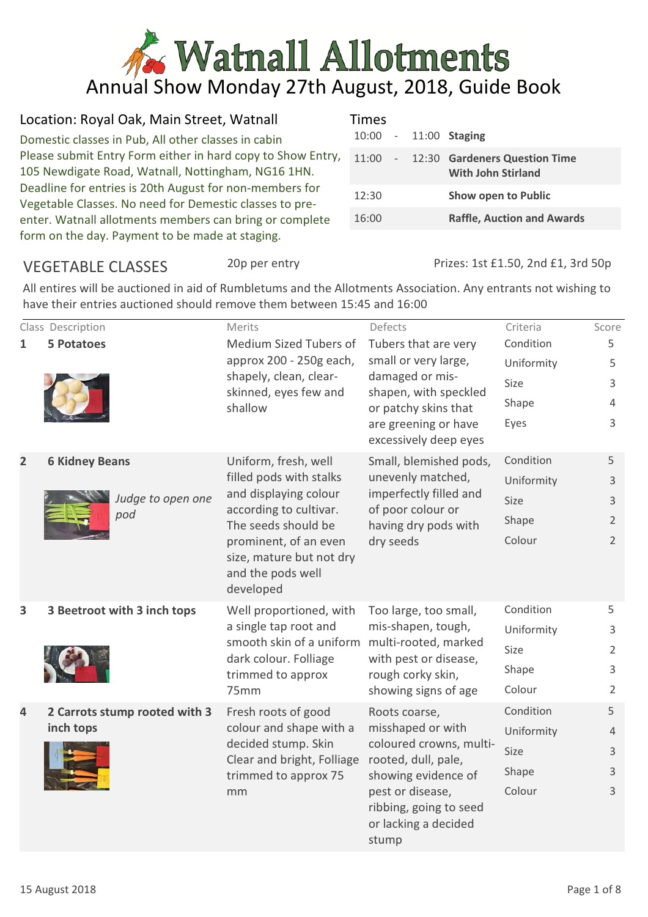# **ANNUAL Allotments**<br>Annual Show Monday 27th August, 2018, Guide Book

| Location: Royal Oak, Main Street, Watnall                   | <b>Times</b> |       |
|-------------------------------------------------------------|--------------|-------|
| Domestic classes in Pub, All other classes in cabin         | 10:00        | 11:   |
| Please submit Entry Form either in hard copy to Show Entry, | 11:00        | $-12$ |
| 105 Newdigate Road, Watnall, Nottingham, NG16 1HN.          |              |       |
| Deadline for entries is 20th August for non-members for     | 12:30        |       |
| Vegetable Classes. No need for Demestic classes to pre-     |              |       |
| enter. Watnall allotments members can bring or complete     | 16:00        |       |
| form on the day. Payment to be made at staging.             |              |       |

## VEGETABLE CLASSES

### 20p per entry

|       |  | $10:00 - 11:00$ Staging                                            |
|-------|--|--------------------------------------------------------------------|
|       |  | 11:00 - 12:30 Gardeners Question Time<br><b>With John Stirland</b> |
| 12:30 |  | <b>Show open to Public</b>                                         |
| 16:00 |  | <b>Raffle, Auction and Awards</b>                                  |
|       |  |                                                                    |

Prizes: 1st £1.50, 2nd £1, 3rd 50p

|                | Class Description             | Merits                                                                              | Defects                                                                                                          | Criteria   | Score          |
|----------------|-------------------------------|-------------------------------------------------------------------------------------|------------------------------------------------------------------------------------------------------------------|------------|----------------|
| 1              | <b>5 Potatoes</b>             | Medium Sized Tubers of                                                              | Tubers that are very                                                                                             | Condition  | 5              |
|                |                               | approx 200 - 250g each,                                                             | small or very large,                                                                                             | Uniformity | 5              |
|                |                               | shapely, clean, clear-<br>skinned, eyes few and                                     | damaged or mis-<br>shapen, with speckled                                                                         | Size       | 3              |
|                |                               | shallow                                                                             | or patchy skins that                                                                                             | Shape      | $\overline{4}$ |
|                |                               |                                                                                     | are greening or have<br>excessively deep eyes                                                                    | Eyes       | 3              |
| $\overline{2}$ | <b>6 Kidney Beans</b>         | Uniform, fresh, well                                                                | Small, blemished pods,                                                                                           | Condition  | 5              |
|                |                               | filled pods with stalks                                                             | unevenly matched,                                                                                                | Uniformity | 3              |
|                | Judge to open one             | and displaying colour<br>according to cultivar.                                     | imperfectly filled and<br>of poor colour or                                                                      | Size       | 3              |
|                | pod                           | The seeds should be                                                                 | having dry pods with                                                                                             | Shape      | $\overline{2}$ |
|                |                               | prominent, of an even<br>size, mature but not dry<br>and the pods well<br>developed | dry seeds                                                                                                        | Colour     | $\overline{2}$ |
| 3              | 3 Beetroot with 3 inch tops   | Well proportioned, with                                                             | Too large, too small,                                                                                            | Condition  | 5              |
|                |                               | a single tap root and                                                               | mis-shapen, tough,<br>multi-rooted, marked<br>with pest or disease,<br>rough corky skin,<br>showing signs of age | Uniformity | 3              |
|                |                               | smooth skin of a uniform<br>dark colour. Folliage                                   |                                                                                                                  | Size       | $\overline{2}$ |
|                |                               | trimmed to approx                                                                   |                                                                                                                  | Shape      | 3              |
|                |                               | 75mm                                                                                |                                                                                                                  | Colour     | 2              |
| 4              | 2 Carrots stump rooted with 3 | Fresh roots of good                                                                 | Roots coarse,                                                                                                    | Condition  | 5              |
|                | inch tops                     | colour and shape with a                                                             | misshaped or with                                                                                                | Uniformity | $\overline{4}$ |
|                |                               | decided stump. Skin<br>Clear and bright, Folliage                                   | coloured crowns, multi-<br>rooted, dull, pale,                                                                   | Size       | 3              |
|                |                               | trimmed to approx 75                                                                | showing evidence of                                                                                              | Shape      | 3              |
|                |                               | pest or disease,<br>mm<br>ribbing, going to seed<br>or lacking a decided<br>stump   |                                                                                                                  | Colour     | 3              |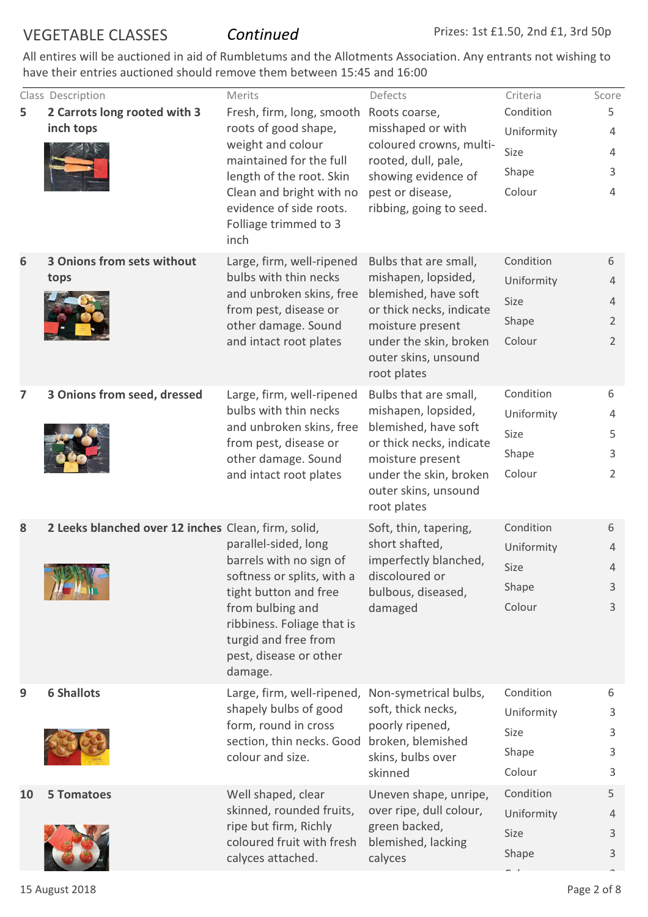| Class Description<br>Merits<br>Defects<br>Criteria<br>Score<br>Condition<br>5<br>2 Carrots long rooted with 3<br>Fresh, firm, long, smooth<br>5<br>Roots coarse,<br>roots of good shape,<br>misshaped or with<br>inch tops<br>Uniformity<br>4<br>weight and colour<br>coloured crowns, multi-<br>Size<br>4<br>maintained for the full<br>rooted, dull, pale,<br>Shape<br>3<br>length of the root. Skin<br>showing evidence of<br>Clean and bright with no<br>Colour<br>pest or disease,<br>4<br>evidence of side roots.<br>ribbing, going to seed.<br>Folliage trimmed to 3<br>inch<br><b>3 Onions from sets without</b><br>Condition<br>Large, firm, well-ripened<br>Bulbs that are small,<br>6<br>6<br>bulbs with thin necks<br>mishapen, lopsided,<br>tops<br>Uniformity<br>4<br>and unbroken skins, free<br>blemished, have soft<br>Size<br>4<br>or thick necks, indicate<br>from pest, disease or<br>Shape<br>$\overline{2}$<br>other damage. Sound<br>moisture present<br>under the skin, broken<br>Colour<br>$\overline{2}$<br>and intact root plates<br>outer skins, unsound<br>root plates<br>Condition<br>3 Onions from seed, dressed<br>Large, firm, well-ripened<br>Bulbs that are small,<br>6<br>7<br>bulbs with thin necks<br>mishapen, lopsided,<br>Uniformity<br>4<br>blemished, have soft<br>and unbroken skins, free<br>Size<br>5<br>from pest, disease or<br>or thick necks, indicate<br>Shape<br>3<br>other damage. Sound<br>moisture present<br>Colour<br>$\overline{2}$<br>under the skin, broken<br>and intact root plates<br>outer skins, unsound<br>root plates<br>Condition<br>2 Leeks blanched over 12 inches Clean, firm, solid,<br>6<br>Soft, thin, tapering,<br>8<br>parallel-sided, long<br>short shafted,<br>Uniformity<br>$\overline{4}$<br>barrels with no sign of<br>imperfectly blanched,<br>Size<br>4<br>softness or splits, with a<br>discoloured or<br>Shape<br>3<br>tight button and free<br>bulbous, diseased,<br>Colour<br>from bulbing and<br>damaged<br>3<br>ribbiness. Foliage that is<br>turgid and free from<br>pest, disease or other<br>damage.<br>Condition<br><b>6 Shallots</b><br>Non-symetrical bulbs,<br>9<br>Large, firm, well-ripened,<br>6<br>shapely bulbs of good<br>soft, thick necks,<br>Uniformity<br>3<br>form, round in cross<br>poorly ripened,<br>Size<br>3<br>section, thin necks. Good<br>broken, blemished<br>Shape<br>3<br>colour and size.<br>skins, bulbs over<br>Colour<br>skinned<br>3<br>Condition<br>5<br>Uneven shape, unripe,<br>Well shaped, clear<br>10<br><b>5 Tomatoes</b><br>skinned, rounded fruits,<br>over ripe, dull colour,<br>Uniformity<br>4<br>ripe but firm, Richly<br>green backed,<br>Size<br>3<br>coloured fruit with fresh<br>blemished, lacking<br>Shape<br>3<br>calyces attached.<br>calyces |  |  |  |
|------------------------------------------------------------------------------------------------------------------------------------------------------------------------------------------------------------------------------------------------------------------------------------------------------------------------------------------------------------------------------------------------------------------------------------------------------------------------------------------------------------------------------------------------------------------------------------------------------------------------------------------------------------------------------------------------------------------------------------------------------------------------------------------------------------------------------------------------------------------------------------------------------------------------------------------------------------------------------------------------------------------------------------------------------------------------------------------------------------------------------------------------------------------------------------------------------------------------------------------------------------------------------------------------------------------------------------------------------------------------------------------------------------------------------------------------------------------------------------------------------------------------------------------------------------------------------------------------------------------------------------------------------------------------------------------------------------------------------------------------------------------------------------------------------------------------------------------------------------------------------------------------------------------------------------------------------------------------------------------------------------------------------------------------------------------------------------------------------------------------------------------------------------------------------------------------------------------------------------------------------------------------------------------------------------------------------------------------------------------------------------------------------------------------------------------------------------------------------------------------------------------------------------------------------------------------------------------------------------------------------------------------------------------------------------------------------------------------------------------------------------------------------------------------|--|--|--|
|                                                                                                                                                                                                                                                                                                                                                                                                                                                                                                                                                                                                                                                                                                                                                                                                                                                                                                                                                                                                                                                                                                                                                                                                                                                                                                                                                                                                                                                                                                                                                                                                                                                                                                                                                                                                                                                                                                                                                                                                                                                                                                                                                                                                                                                                                                                                                                                                                                                                                                                                                                                                                                                                                                                                                                                                |  |  |  |
|                                                                                                                                                                                                                                                                                                                                                                                                                                                                                                                                                                                                                                                                                                                                                                                                                                                                                                                                                                                                                                                                                                                                                                                                                                                                                                                                                                                                                                                                                                                                                                                                                                                                                                                                                                                                                                                                                                                                                                                                                                                                                                                                                                                                                                                                                                                                                                                                                                                                                                                                                                                                                                                                                                                                                                                                |  |  |  |
|                                                                                                                                                                                                                                                                                                                                                                                                                                                                                                                                                                                                                                                                                                                                                                                                                                                                                                                                                                                                                                                                                                                                                                                                                                                                                                                                                                                                                                                                                                                                                                                                                                                                                                                                                                                                                                                                                                                                                                                                                                                                                                                                                                                                                                                                                                                                                                                                                                                                                                                                                                                                                                                                                                                                                                                                |  |  |  |
|                                                                                                                                                                                                                                                                                                                                                                                                                                                                                                                                                                                                                                                                                                                                                                                                                                                                                                                                                                                                                                                                                                                                                                                                                                                                                                                                                                                                                                                                                                                                                                                                                                                                                                                                                                                                                                                                                                                                                                                                                                                                                                                                                                                                                                                                                                                                                                                                                                                                                                                                                                                                                                                                                                                                                                                                |  |  |  |
|                                                                                                                                                                                                                                                                                                                                                                                                                                                                                                                                                                                                                                                                                                                                                                                                                                                                                                                                                                                                                                                                                                                                                                                                                                                                                                                                                                                                                                                                                                                                                                                                                                                                                                                                                                                                                                                                                                                                                                                                                                                                                                                                                                                                                                                                                                                                                                                                                                                                                                                                                                                                                                                                                                                                                                                                |  |  |  |
|                                                                                                                                                                                                                                                                                                                                                                                                                                                                                                                                                                                                                                                                                                                                                                                                                                                                                                                                                                                                                                                                                                                                                                                                                                                                                                                                                                                                                                                                                                                                                                                                                                                                                                                                                                                                                                                                                                                                                                                                                                                                                                                                                                                                                                                                                                                                                                                                                                                                                                                                                                                                                                                                                                                                                                                                |  |  |  |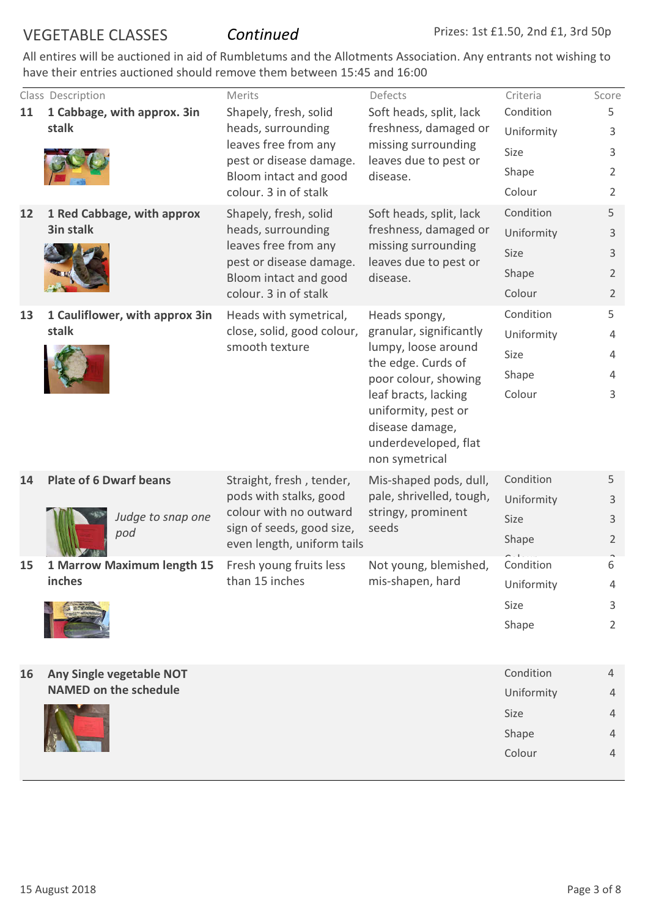|    | Class Description              | Merits                                              | Defects                                        | Criteria   | Score          |
|----|--------------------------------|-----------------------------------------------------|------------------------------------------------|------------|----------------|
| 11 | 1 Cabbage, with approx. 3in    | Shapely, fresh, solid                               | Soft heads, split, lack                        | Condition  | 5              |
|    | stalk                          | heads, surrounding                                  | freshness, damaged or                          | Uniformity | 3              |
|    |                                | leaves free from any<br>pest or disease damage.     | missing surrounding<br>leaves due to pest or   | Size       | 3              |
|    |                                | Bloom intact and good                               | disease.                                       | Shape      | $\overline{2}$ |
|    |                                | colour. 3 in of stalk                               |                                                | Colour     | 2              |
| 12 | 1 Red Cabbage, with approx     | Shapely, fresh, solid                               | Soft heads, split, lack                        | Condition  | 5              |
|    | <b>3in stalk</b>               | heads, surrounding                                  | freshness, damaged or                          | Uniformity | 3              |
|    |                                | leaves free from any<br>pest or disease damage.     | missing surrounding<br>leaves due to pest or   | Size       | 3              |
|    |                                | Bloom intact and good                               | disease.                                       | Shape      | $\overline{2}$ |
|    |                                | colour. 3 in of stalk                               |                                                | Colour     | $\overline{2}$ |
| 13 | 1 Cauliflower, with approx 3in | Heads with symetrical,                              | Heads spongy,                                  | Condition  | 5              |
|    | stalk                          | close, solid, good colour,<br>smooth texture        | granular, significantly<br>lumpy, loose around | Uniformity | 4              |
|    |                                |                                                     | the edge. Curds of                             | Size       | 4              |
|    |                                |                                                     | poor colour, showing                           | Shape      | 4              |
|    |                                |                                                     | leaf bracts, lacking                           | Colour     | 3              |
|    |                                |                                                     | uniformity, pest or<br>disease damage,         |            |                |
|    |                                |                                                     | underdeveloped, flat                           |            |                |
|    |                                |                                                     | non symetrical                                 |            |                |
| 14 | <b>Plate of 6 Dwarf beans</b>  | Straight, fresh, tender,                            | Mis-shaped pods, dull,                         | Condition  | 5              |
|    |                                | pods with stalks, good                              | pale, shrivelled, tough,                       | Uniformity | 3              |
|    | Judge to snap one              | colour with no outward<br>sign of seeds, good size, | stringy, prominent<br>seeds                    | Size       | 3              |
|    | pod                            | even length, uniform tails                          |                                                | Shape      | $\overline{2}$ |
| 15 | 1 Marrow Maximum length 15     | Fresh young fruits less                             | Not young, blemished,                          | Condition  | 6              |
|    | inches                         | than 15 inches                                      | mis-shapen, hard                               | Uniformity | 4              |
|    |                                |                                                     |                                                | Size       | 3              |
|    |                                |                                                     |                                                | Shape      | $\overline{2}$ |
|    |                                |                                                     |                                                |            |                |
| 16 | Any Single vegetable NOT       |                                                     |                                                | Condition  | $\overline{4}$ |
|    | <b>NAMED on the schedule</b>   |                                                     |                                                | Uniformity | 4              |
|    |                                |                                                     |                                                | Size       | 4              |
|    |                                |                                                     |                                                | Shape      | 4              |
|    |                                |                                                     |                                                | Colour     | 4              |
|    |                                |                                                     |                                                |            |                |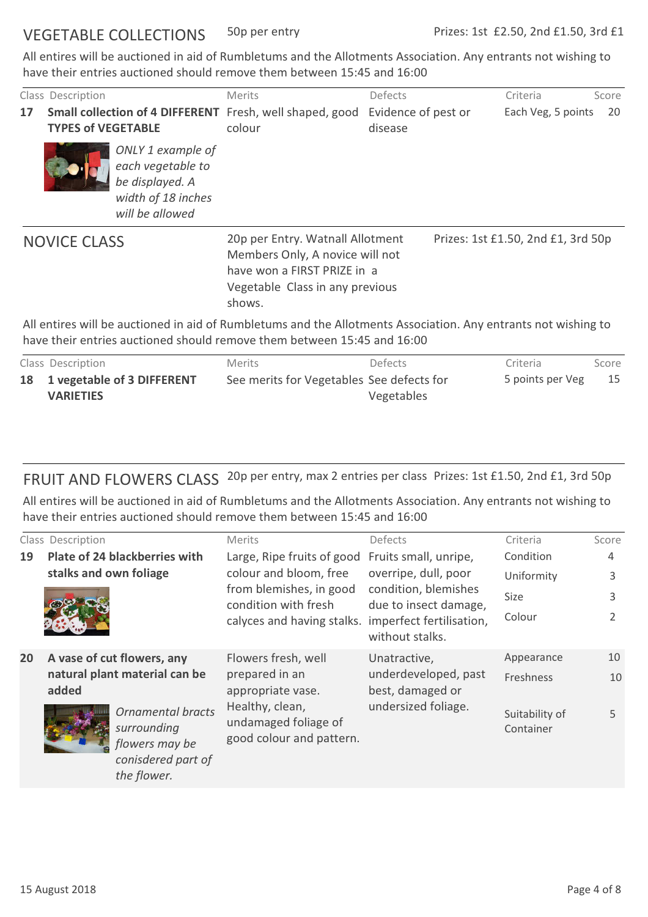| 17 | Class Description         |                                                                                                    | <b>Merits</b><br>Small collection of 4 DIFFERENT Fresh, well shaped, good                                                                       | Defects<br>Evidence of pest or | Criteria<br>Each Veg, 5 points     | Score<br>20 |
|----|---------------------------|----------------------------------------------------------------------------------------------------|-------------------------------------------------------------------------------------------------------------------------------------------------|--------------------------------|------------------------------------|-------------|
|    | <b>TYPES of VEGETABLE</b> |                                                                                                    | colour                                                                                                                                          | disease                        |                                    |             |
|    |                           | ONLY 1 example of<br>each vegetable to<br>be displayed. A<br>width of 18 inches<br>will be allowed |                                                                                                                                                 |                                |                                    |             |
|    | <b>NOVICE CLASS</b>       |                                                                                                    | 20p per Entry. Watnall Allotment<br>Members Only, A novice will not<br>have won a FIRST PRIZE in a<br>Vegetable Class in any previous<br>shows. |                                | Prizes: 1st £1.50, 2nd £1, 3rd 50p |             |
|    |                           |                                                                                                    | All entires will be auctioned in aid of Rumbletums and the Allotments Association. Any entrants not wishing to                                  |                                |                                    |             |

All entires will be auctioned in aid of Rumbletums and the Allotments Association. Any entrants not wishing to have their entries auctioned should remove them between 15:45 and 16:00

| Class Description             | <b>Merits</b>                             | Defects    | Criteria         | Score |
|-------------------------------|-------------------------------------------|------------|------------------|-------|
| 18 1 vegetable of 3 DIFFERENT | See merits for Vegetables See defects for |            | 5 points per Veg | 15    |
| <b>VARIETIES</b>              |                                           | Vegetables |                  |       |
|                               |                                           |            |                  |       |

## FRUIT AND FLOWERS CLASS 20p per entry, max 2 entries per class Prizes: 1st £1.50, 2nd £1, 3rd 50p

|    | Class Description                      |                                                                                                | Merits                                                              | Defects                                                  | Criteria                    | Score |
|----|----------------------------------------|------------------------------------------------------------------------------------------------|---------------------------------------------------------------------|----------------------------------------------------------|-----------------------------|-------|
| 19 |                                        | Plate of 24 blackberries with                                                                  | Large, Ripe fruits of good                                          | Fruits small, unripe,                                    | Condition                   | 4     |
|    | stalks and own foliage                 |                                                                                                | colour and bloom, free                                              | overripe, dull, poor                                     | Uniformity                  | 3     |
|    |                                        |                                                                                                | from blemishes, in good<br>condition with fresh                     | condition, blemishes<br>due to insect damage,            | Size                        | 3     |
|    |                                        |                                                                                                | calyces and having stalks. imperfect fertilisation,                 | without stalks.                                          | Colour                      | 2     |
| 20 | A vase of cut flowers, any             |                                                                                                | Flowers fresh, well<br>prepared in an<br>appropriate vase.          | Unatractive,<br>underdeveloped, past<br>best, damaged or | Appearance                  | 10    |
|    | natural plant material can be<br>added | Freshness                                                                                      |                                                                     |                                                          | 10                          |       |
|    |                                        | <b>Ornamental bracts</b><br>surrounding<br>flowers may be<br>conisdered part of<br>the flower. | Healthy, clean,<br>undamaged foliage of<br>good colour and pattern. | undersized foliage.                                      | Suitability of<br>Container | 5     |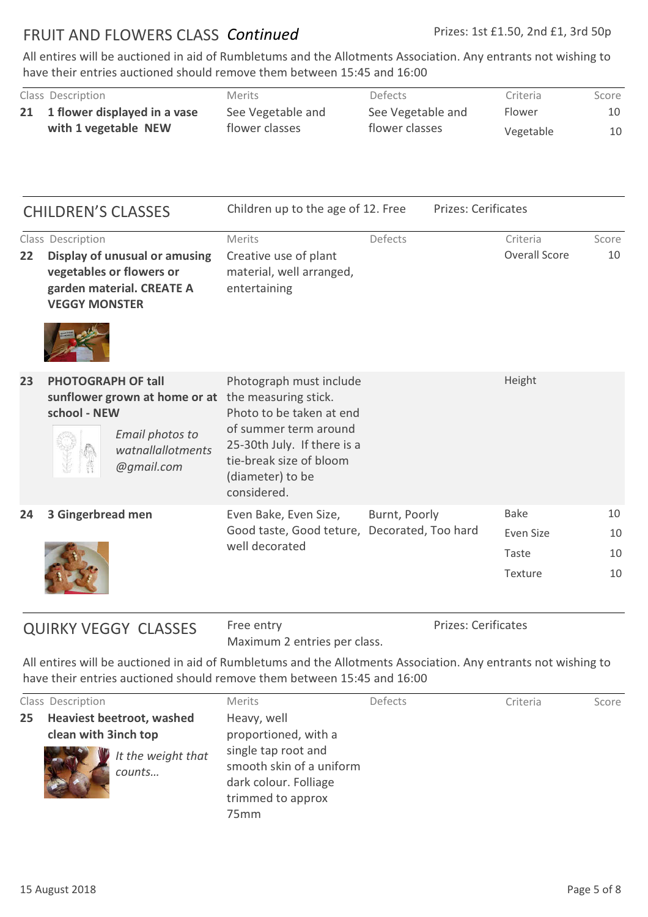## FRUIT AND FLOWERS CLASS Continued

All entires will be auctioned in aid of Rumbletums and the Allotments Association. Any entrants not wishing to have their entries auctioned should remove them between 15:45 and 16:00

|    | Class Description            | <b>Merits</b>     | Defects           | Criteria  | Score |
|----|------------------------------|-------------------|-------------------|-----------|-------|
| 21 | 1 flower displayed in a vase | See Vegetable and | See Vegetable and | Flower    | 10    |
|    | with 1 vegetable NEW         | flower classes    | flower classes    | Vegetable | 10    |
|    |                              |                   |                   |           |       |

|    | <b>CHILDREN'S CLASSES</b>                                                                                                                  | Children up to the age of 12. Free                                                                                                                                                                | <b>Prizes: Cerificates</b> |  |                                              |                      |
|----|--------------------------------------------------------------------------------------------------------------------------------------------|---------------------------------------------------------------------------------------------------------------------------------------------------------------------------------------------------|----------------------------|--|----------------------------------------------|----------------------|
| 22 | Class Description<br><b>Display of unusual or amusing</b><br>vegetables or flowers or<br>garden material. CREATE A<br><b>VEGGY MONSTER</b> | Merits<br>Creative use of plant<br>material, well arranged,<br>entertaining                                                                                                                       | Defects                    |  | Criteria<br>Overall Score                    | Score<br>10          |
| 23 | <b>PHOTOGRAPH OF tall</b><br>sunflower grown at home or at<br>school - NEW<br>Email photos to<br>watnallallotments<br>@gmail.com           | Photograph must include<br>the measuring stick.<br>Photo to be taken at end<br>of summer term around<br>25-30th July. If there is a<br>tie-break size of bloom<br>(diameter) to be<br>considered. |                            |  | Height                                       |                      |
| 24 | 3 Gingerbread men                                                                                                                          | Even Bake, Even Size,<br>Good taste, Good teture, Decorated, Too hard<br>well decorated                                                                                                           | Burnt, Poorly              |  | <b>Bake</b><br>Even Size<br>Taste<br>Texture | 10<br>10<br>10<br>10 |

## QUIRKY VEGGY CLASSES

Free entry Maximum 2 entries per class. Prizes: Cerificates

|    | Class Description    |                                  | <b>Merits</b>                                                                                                     | <b>Defects</b> | Criteria | Score |
|----|----------------------|----------------------------------|-------------------------------------------------------------------------------------------------------------------|----------------|----------|-------|
| 25 | clean with 3inch top | <b>Heaviest beetroot, washed</b> | Heavy, well<br>proportioned, with a                                                                               |                |          |       |
|    |                      | It the weight that<br>counts     | single tap root and<br>smooth skin of a uniform<br>dark colour. Folliage<br>trimmed to approx<br>75 <sub>mm</sub> |                |          |       |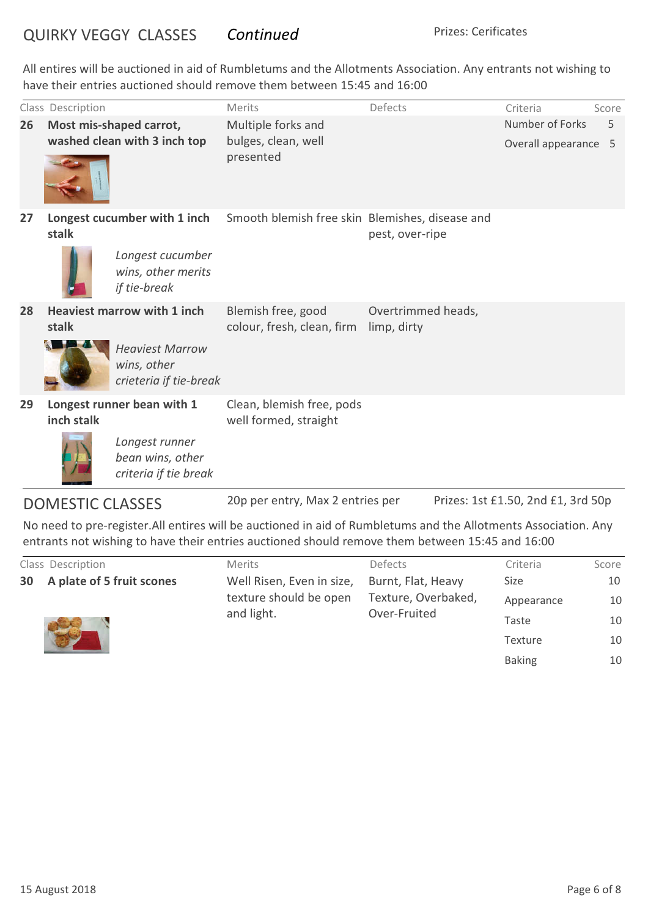|    | Class Description       |                                                                 | Merits                                             | Defects                           | Criteria                           | Score |
|----|-------------------------|-----------------------------------------------------------------|----------------------------------------------------|-----------------------------------|------------------------------------|-------|
| 26 |                         | Most mis-shaped carrot,                                         | Multiple forks and                                 |                                   | Number of Forks                    | 5     |
|    |                         | washed clean with 3 inch top                                    | bulges, clean, well<br>presented                   |                                   | Overall appearance 5               |       |
| 27 | stalk                   | Longest cucumber with 1 inch                                    | Smooth blemish free skin Blemishes, disease and    | pest, over-ripe                   |                                    |       |
|    |                         | Longest cucumber<br>wins, other merits<br>if tie-break          |                                                    |                                   |                                    |       |
| 28 | stalk                   | <b>Heaviest marrow with 1 inch</b>                              | Blemish free, good<br>colour, fresh, clean, firm   | Overtrimmed heads,<br>limp, dirty |                                    |       |
|    |                         | <b>Heaviest Marrow</b><br>wins, other<br>crieteria if tie-break |                                                    |                                   |                                    |       |
| 29 | inch stalk              | Longest runner bean with 1                                      | Clean, blemish free, pods<br>well formed, straight |                                   |                                    |       |
|    |                         | Longest runner<br>bean wins, other<br>criteria if tie break     |                                                    |                                   |                                    |       |
|    | <b>DOMESTIC CLASSES</b> |                                                                 | 20p per entry, Max 2 entries per                   |                                   | Prizes: 1st £1.50, 2nd £1, 3rd 50p |       |

|  | Class Description            | <b>Merits</b>             | Defects                                                   | Criteria       | Score |
|--|------------------------------|---------------------------|-----------------------------------------------------------|----------------|-------|
|  | 30 A plate of 5 fruit scones | Well Risen, Even in size, | Burnt, Flat, Heavy<br>Texture, Overbaked,<br>Over-Fruited | <b>Size</b>    | 10    |
|  |                              | texture should be open    |                                                           | Appearance     | 10    |
|  |                              | and light.                |                                                           | Taste          | 10    |
|  |                              |                           |                                                           | <b>Texture</b> | 10    |
|  |                              |                           |                                                           | <b>Baking</b>  | 10    |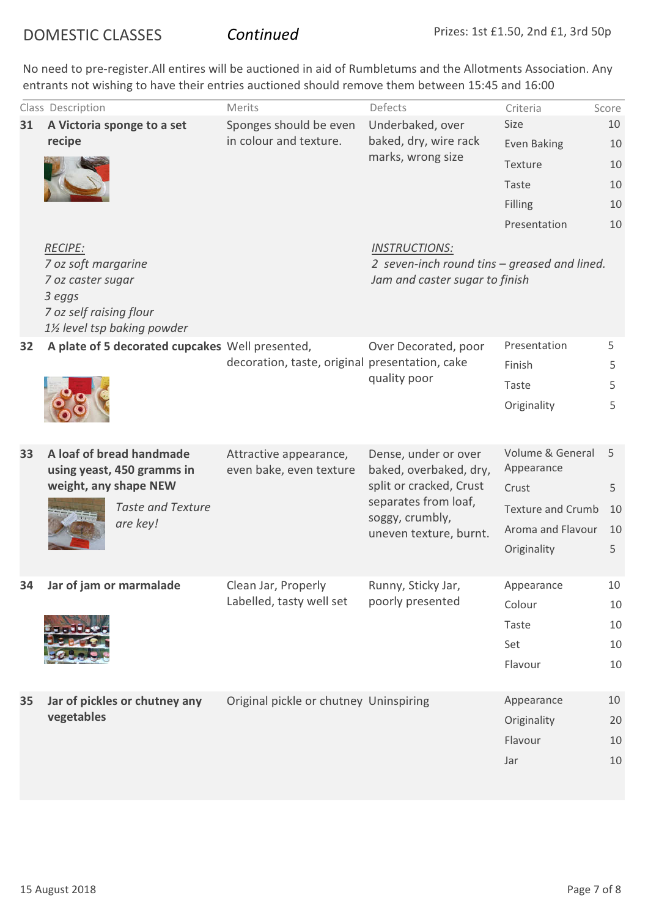|    | Class Description                                                                           | Merits                                           | Defects                                                                                                                | Criteria                 | Score |
|----|---------------------------------------------------------------------------------------------|--------------------------------------------------|------------------------------------------------------------------------------------------------------------------------|--------------------------|-------|
| 31 | A Victoria sponge to a set<br>recipe                                                        | Sponges should be even<br>in colour and texture. | Underbaked, over<br>baked, dry, wire rack<br>marks, wrong size                                                         | Size                     | 10    |
|    |                                                                                             |                                                  |                                                                                                                        | <b>Even Baking</b>       | 10    |
|    |                                                                                             |                                                  |                                                                                                                        | Texture                  | 10    |
|    |                                                                                             |                                                  |                                                                                                                        | Taste                    | 10    |
|    |                                                                                             |                                                  |                                                                                                                        | Filling                  | 10    |
|    |                                                                                             |                                                  |                                                                                                                        | Presentation             | 10    |
|    | <b>RECIPE:</b>                                                                              |                                                  | <b>INSTRUCTIONS:</b>                                                                                                   |                          |       |
|    | 7 oz soft margarine                                                                         |                                                  | 2 seven-inch round tins – greased and lined.                                                                           |                          |       |
|    | 7 oz caster sugar                                                                           |                                                  | Jam and caster sugar to finish                                                                                         |                          |       |
|    | 3 eggs<br>7 oz self raising flour                                                           |                                                  |                                                                                                                        |                          |       |
|    | 1½ level tsp baking powder                                                                  |                                                  |                                                                                                                        |                          |       |
| 32 | A plate of 5 decorated cupcakes Well presented,                                             |                                                  | Over Decorated, poor                                                                                                   | Presentation             | 5     |
|    |                                                                                             | decoration, taste, original presentation, cake   | quality poor                                                                                                           | Finish                   | 5     |
|    |                                                                                             |                                                  |                                                                                                                        | Taste                    | 5     |
|    |                                                                                             |                                                  |                                                                                                                        | Originality              | 5     |
|    |                                                                                             |                                                  |                                                                                                                        |                          |       |
|    |                                                                                             |                                                  |                                                                                                                        |                          |       |
| 33 | A loaf of bread handmade                                                                    | Attractive appearance,                           | Dense, under or over                                                                                                   | Volume & General         | 5     |
|    | using yeast, 450 gramms in<br>weight, any shape NEW<br><b>Taste and Texture</b><br>are key! | even bake, even texture                          | baked, overbaked, dry,<br>split or cracked, Crust<br>separates from loaf,<br>soggy, crumbly,<br>uneven texture, burnt. | Appearance               |       |
|    |                                                                                             |                                                  |                                                                                                                        | Crust                    | 5     |
|    |                                                                                             |                                                  |                                                                                                                        | <b>Texture and Crumb</b> | 10    |
|    |                                                                                             |                                                  |                                                                                                                        | Aroma and Flavour        | 10    |
|    |                                                                                             |                                                  |                                                                                                                        | Originality              | 5     |
|    |                                                                                             |                                                  |                                                                                                                        |                          |       |
| 34 | Jar of Jam or marmalade                                                                     | Clean Jar, Properly                              | Runny, Sticky Jar,                                                                                                     | Appearance               | 10    |
|    |                                                                                             | Labelled, tasty well set                         | poorly presented                                                                                                       | Colour                   | 10    |
|    |                                                                                             |                                                  |                                                                                                                        | Taste                    | 10    |
|    |                                                                                             |                                                  |                                                                                                                        | Set                      | 10    |
|    |                                                                                             |                                                  |                                                                                                                        | Flavour                  | 10    |
|    |                                                                                             |                                                  |                                                                                                                        |                          |       |
| 35 | Jar of pickles or chutney any<br>vegetables                                                 | Original pickle or chutney Uninspiring           |                                                                                                                        | Appearance               | 10    |
|    |                                                                                             |                                                  |                                                                                                                        | Originality              | 20    |
|    |                                                                                             |                                                  |                                                                                                                        | Flavour                  | 10    |
|    |                                                                                             |                                                  |                                                                                                                        | Jar                      | 10    |
|    |                                                                                             |                                                  |                                                                                                                        |                          |       |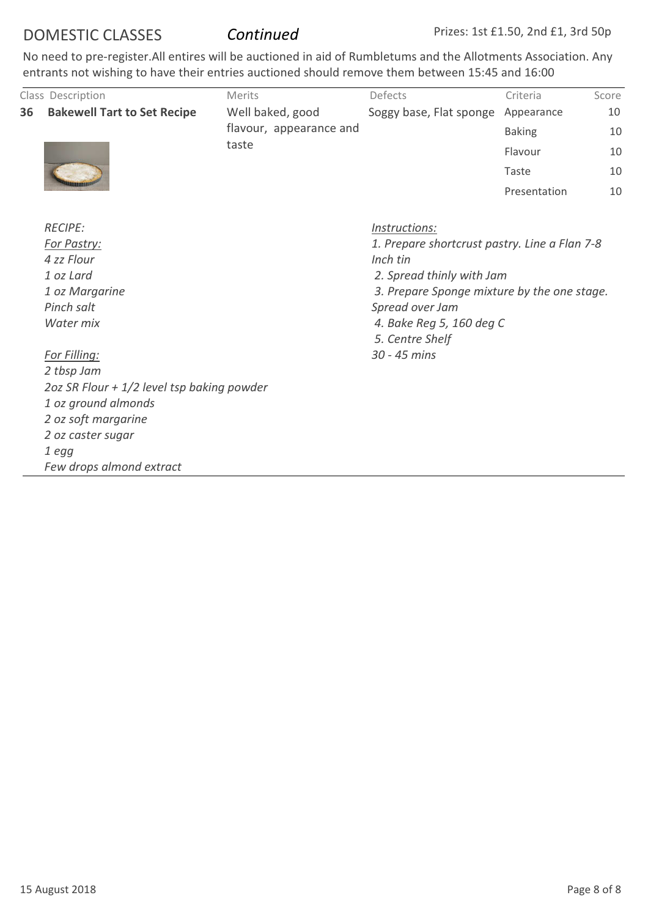|    | Class Description                          | Merits                                               | Defects                                       | Criteria      | Score |  |  |
|----|--------------------------------------------|------------------------------------------------------|-----------------------------------------------|---------------|-------|--|--|
| 36 | <b>Bakewell Tart to Set Recipe</b>         | Well baked, good<br>flavour, appearance and<br>taste | Soggy base, Flat sponge                       | Appearance    | 10    |  |  |
|    |                                            |                                                      |                                               | <b>Baking</b> | 10    |  |  |
|    |                                            |                                                      |                                               | Flavour       | 10    |  |  |
|    |                                            |                                                      |                                               | Taste         | 10    |  |  |
|    |                                            |                                                      |                                               | Presentation  | 10    |  |  |
|    | <b>RECIPE:</b>                             |                                                      | Instructions:                                 |               |       |  |  |
|    | For Pastry:                                |                                                      | 1. Prepare shortcrust pastry. Line a Flan 7-8 |               |       |  |  |
|    | 4 zz Flour                                 |                                                      | Inch tin                                      |               |       |  |  |
|    | 1 oz Lard                                  |                                                      | 2. Spread thinly with Jam                     |               |       |  |  |
|    | 1 oz Margarine                             |                                                      | 3. Prepare Sponge mixture by the one stage.   |               |       |  |  |
|    | Pinch salt                                 |                                                      | Spread over Jam                               |               |       |  |  |
|    | Water mix                                  |                                                      | 4. Bake Reg 5, 160 deg C                      |               |       |  |  |
|    |                                            |                                                      | 5. Centre Shelf                               |               |       |  |  |
|    | For Filling:                               |                                                      | 30 - 45 mins                                  |               |       |  |  |
|    | 2 tbsp Jam                                 |                                                      |                                               |               |       |  |  |
|    | 2oz SR Flour + 1/2 level tsp baking powder |                                                      |                                               |               |       |  |  |
|    | 1 oz ground almonds                        |                                                      |                                               |               |       |  |  |
|    | 2 oz soft margarine                        |                                                      |                                               |               |       |  |  |
|    | 2 oz caster sugar                          |                                                      |                                               |               |       |  |  |
|    | 1 egg                                      |                                                      |                                               |               |       |  |  |
|    | Few drops almond extract                   |                                                      |                                               |               |       |  |  |